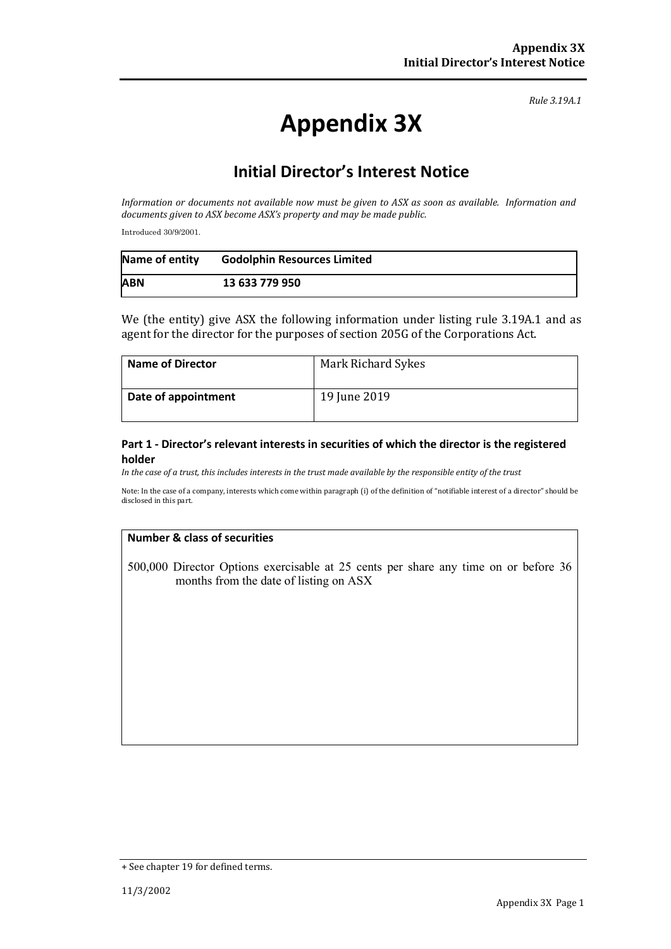*Rule 3.19A.1*

# **Appendix 3X**

### **Initial Director's Interest Notice**

*Information or documents not available now must be given to ASX as soon as available. Information and documents given to ASX become ASX's property and may be made public.*

Introduced 30/9/2001.

| Name of entity | <b>Godolphin Resources Limited</b> |
|----------------|------------------------------------|
| <b>ABN</b>     | 13 633 779 950                     |

We (the entity) give ASX the following information under listing rule 3.19A.1 and as agent for the director for the purposes of section 205G of the Corporations Act.

| <b>Name of Director</b> | Mark Richard Sykes |
|-------------------------|--------------------|
| Date of appointment     | 19 June 2019       |

#### **Part 1 - Director's relevant interests in securities of which the director is the registered holder**

*In the case of a trust, this includes interests in the trust made available by the responsible entity of the trust*

Note: In the case of a company, interests which come within paragraph (i) of the definition of "notifiable interest of a director" should be disclosed in this part.

#### **Number & class of securities**

500,000 Director Options exercisable at 25 cents per share any time on or before 36 months from the date of listing on ASX

<sup>+</sup> See chapter 19 for defined terms.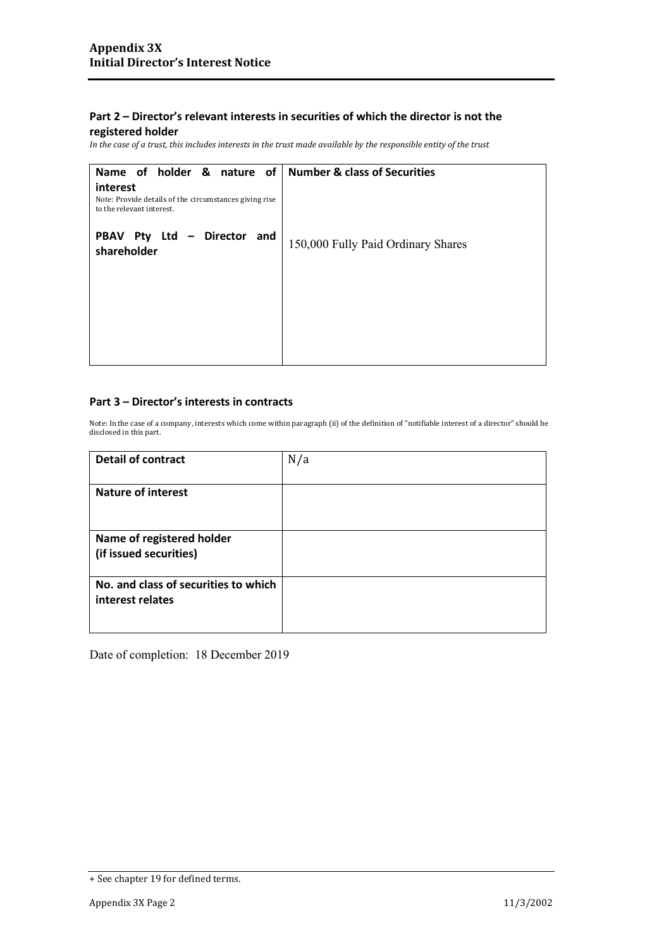### **Part 2 – Director's relevant interests in securities of which the director is not the**

#### **registered holder**

*In the case of a trust, this includes interests in the trust made available by the responsible entity of the trust*

| Name of holder & nature of<br>interest                                              | <b>Number &amp; class of Securities</b> |
|-------------------------------------------------------------------------------------|-----------------------------------------|
| Note: Provide details of the circumstances giving rise<br>to the relevant interest. |                                         |
| Pty Ltd<br>- Director<br><b>PBAV</b><br>and<br>shareholder                          | 150,000 Fully Paid Ordinary Shares      |
|                                                                                     |                                         |
|                                                                                     |                                         |
|                                                                                     |                                         |

#### **Part 3 – Director's interests in contracts**

Note: In the case of a company, interests which come within paragraph (ii) of the definition of "notifiable interest of a director" should be disclosed in this part.

| <b>Detail of contract</b>            | N/a |
|--------------------------------------|-----|
| <b>Nature of interest</b>            |     |
|                                      |     |
| Name of registered holder            |     |
| (if issued securities)               |     |
| No. and class of securities to which |     |
| interest relates                     |     |
|                                      |     |

Date of completion: 18 December 2019

<sup>+</sup> See chapter 19 for defined terms.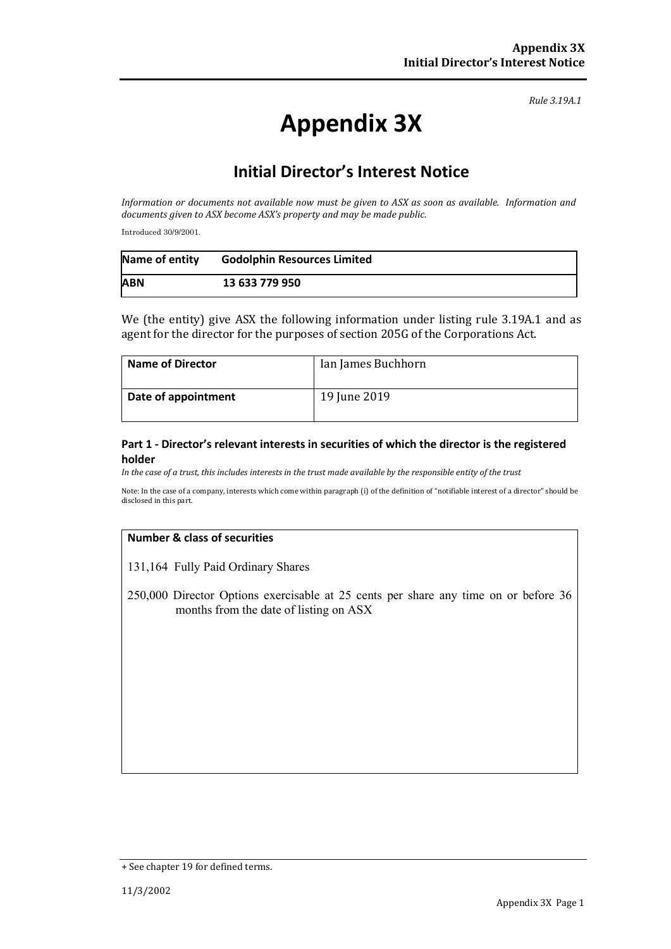*Rule 3.19A.1*

# **Appendix 3X**

## **Initial Director's Interest Notice**

*Information or documents not available now must be given to ASX as soon as available. Information and documents given to ASX become ASX's property and may be made public.*

Introduced 30/9/2001.

| Name of entity | <b>Godolphin Resources Limited</b> |
|----------------|------------------------------------|
| <b>ABN</b>     | 13 633 779 950                     |

We (the entity) give ASX the following information under listing rule 3.19A.1 and as agent for the director for the purposes of section 205G of the Corporations Act.

| <b>Name of Director</b> | Ian James Buchhorn |
|-------------------------|--------------------|
| Date of appointment     | 19 June 2019       |

#### **Part 1 - Director's relevant interests in securities of which the director is the registered holder**

*In the case of a trust, this includes interests in the trust made available by the responsible entity of the trust*

Note: In the case of a company, interests which come within paragraph (i) of the definition of "notifiable interest of a director" should be disclosed in this part.

#### **Number & class of securities**

131,164 Fully Paid Ordinary Shares

250,000 Director Options exercisable at 25 cents per share any time on or before 36 months from the date of listing on ASX

<sup>+</sup> See chapter 19 for defined terms.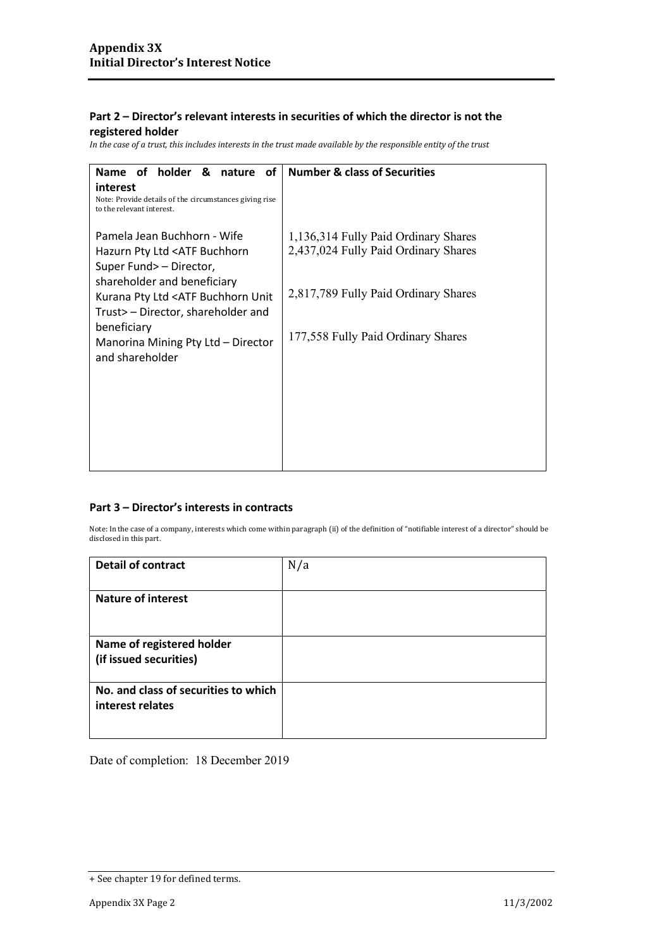#### **Part 2 – Director's relevant interests in securities of which the director is not the registered holder**

*In the case of a trust, this includes interests in the trust made available by the responsible entity of the trust*

| Name of holder &<br>οf<br>nature                                                                | <b>Number &amp; class of Securities</b> |
|-------------------------------------------------------------------------------------------------|-----------------------------------------|
| interest<br>Note: Provide details of the circumstances giving rise<br>to the relevant interest. |                                         |
| Pamela Jean Buchhorn - Wife                                                                     | 1,136,314 Fully Paid Ordinary Shares    |
| Hazurn Pty Ltd <atf buchhorn<br="">Super Fund&gt; - Director,</atf>                             | 2,437,024 Fully Paid Ordinary Shares    |
| shareholder and beneficiary                                                                     | 2,817,789 Fully Paid Ordinary Shares    |
| Kurana Pty Ltd <atf buchhorn="" unit<br="">Trust&gt; – Director, shareholder and</atf>          |                                         |
| beneficiary<br>Manorina Mining Pty Ltd - Director                                               | 177,558 Fully Paid Ordinary Shares      |
| and shareholder                                                                                 |                                         |
|                                                                                                 |                                         |
|                                                                                                 |                                         |
|                                                                                                 |                                         |
|                                                                                                 |                                         |

#### **Part 3 – Director's interests in contracts**

Note: In the case of a company, interests which come within paragraph (ii) of the definition of "notifiable interest of a director" should be disclosed in this part.

| <b>Detail of contract</b>                                | N/a |
|----------------------------------------------------------|-----|
|                                                          |     |
| <b>Nature of interest</b>                                |     |
|                                                          |     |
| Name of registered holder                                |     |
| (if issued securities)                                   |     |
| No. and class of securities to which<br>interest relates |     |
|                                                          |     |

Date of completion: 18 December 2019

<sup>+</sup> See chapter 19 for defined terms.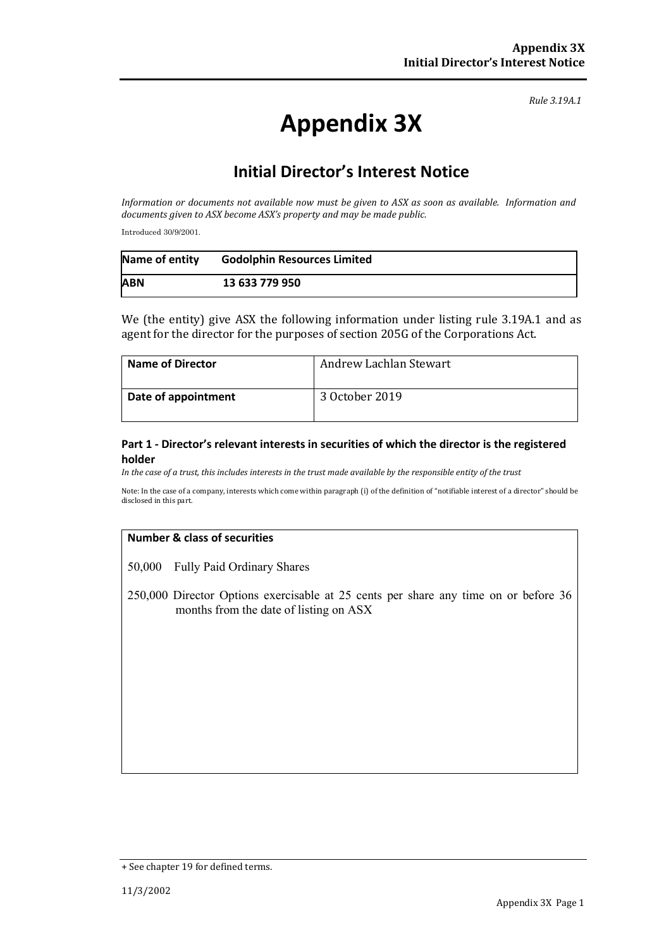*Rule 3.19A.1*

# **Appendix 3X**

## **Initial Director's Interest Notice**

*Information or documents not available now must be given to ASX as soon as available. Information and documents given to ASX become ASX's property and may be made public.*

Introduced 30/9/2001.

| Name of entity | <b>Godolphin Resources Limited</b> |
|----------------|------------------------------------|
| <b>ABN</b>     | 13 633 779 950                     |

We (the entity) give ASX the following information under listing rule 3.19A.1 and as agent for the director for the purposes of section 205G of the Corporations Act.

| <b>Name of Director</b> | Andrew Lachlan Stewart |
|-------------------------|------------------------|
| Date of appointment     | 3 October 2019         |

#### **Part 1 - Director's relevant interests in securities of which the director is the registered holder**

*In the case of a trust, this includes interests in the trust made available by the responsible entity of the trust*

Note: In the case of a company, interests which come within paragraph (i) of the definition of "notifiable interest of a director" should be disclosed in this part.

#### **Number & class of securities**

50,000 Fully Paid Ordinary Shares

250,000 Director Options exercisable at 25 cents per share any time on or before 36 months from the date of listing on ASX

<sup>+</sup> See chapter 19 for defined terms.